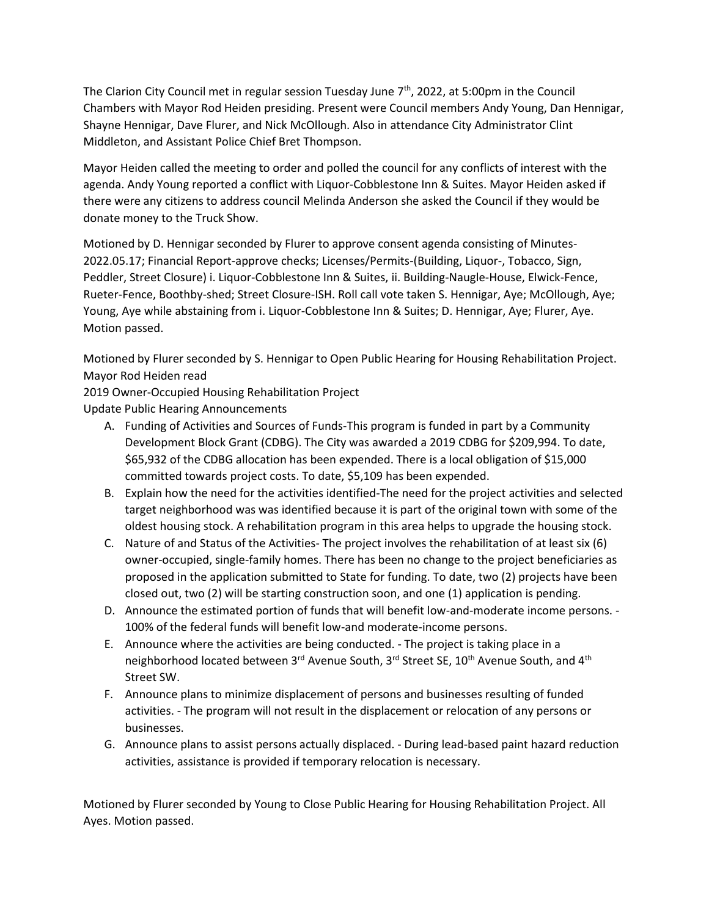The Clarion City Council met in regular session Tuesday June  $7<sup>th</sup>$ , 2022, at 5:00pm in the Council Chambers with Mayor Rod Heiden presiding. Present were Council members Andy Young, Dan Hennigar, Shayne Hennigar, Dave Flurer, and Nick McOllough. Also in attendance City Administrator Clint Middleton, and Assistant Police Chief Bret Thompson.

Mayor Heiden called the meeting to order and polled the council for any conflicts of interest with the agenda. Andy Young reported a conflict with Liquor-Cobblestone Inn & Suites. Mayor Heiden asked if there were any citizens to address council Melinda Anderson she asked the Council if they would be donate money to the Truck Show.

Motioned by D. Hennigar seconded by Flurer to approve consent agenda consisting of Minutes-2022.05.17; Financial Report-approve checks; Licenses/Permits-(Building, Liquor-, Tobacco, Sign, Peddler, Street Closure) i. Liquor-Cobblestone Inn & Suites, ii. Building-Naugle-House, Elwick-Fence, Rueter-Fence, Boothby-shed; Street Closure-ISH. Roll call vote taken S. Hennigar, Aye; McOllough, Aye; Young, Aye while abstaining from i. Liquor-Cobblestone Inn & Suites; D. Hennigar, Aye; Flurer, Aye. Motion passed.

Motioned by Flurer seconded by S. Hennigar to Open Public Hearing for Housing Rehabilitation Project. Mayor Rod Heiden read

2019 Owner-Occupied Housing Rehabilitation Project

Update Public Hearing Announcements

- A. Funding of Activities and Sources of Funds-This program is funded in part by a Community Development Block Grant (CDBG). The City was awarded a 2019 CDBG for \$209,994. To date, \$65,932 of the CDBG allocation has been expended. There is a local obligation of \$15,000 committed towards project costs. To date, \$5,109 has been expended.
- B. Explain how the need for the activities identified-The need for the project activities and selected target neighborhood was was identified because it is part of the original town with some of the oldest housing stock. A rehabilitation program in this area helps to upgrade the housing stock.
- C. Nature of and Status of the Activities- The project involves the rehabilitation of at least six (6) owner-occupied, single-family homes. There has been no change to the project beneficiaries as proposed in the application submitted to State for funding. To date, two (2) projects have been closed out, two (2) will be starting construction soon, and one (1) application is pending.
- D. Announce the estimated portion of funds that will benefit low-and-moderate income persons. 100% of the federal funds will benefit low-and moderate-income persons.
- E. Announce where the activities are being conducted. The project is taking place in a neighborhood located between 3<sup>rd</sup> Avenue South, 3<sup>rd</sup> Street SE, 10<sup>th</sup> Avenue South, and 4<sup>th</sup> Street SW.
- F. Announce plans to minimize displacement of persons and businesses resulting of funded activities. - The program will not result in the displacement or relocation of any persons or businesses.
- G. Announce plans to assist persons actually displaced. During lead-based paint hazard reduction activities, assistance is provided if temporary relocation is necessary.

Motioned by Flurer seconded by Young to Close Public Hearing for Housing Rehabilitation Project. All Ayes. Motion passed.